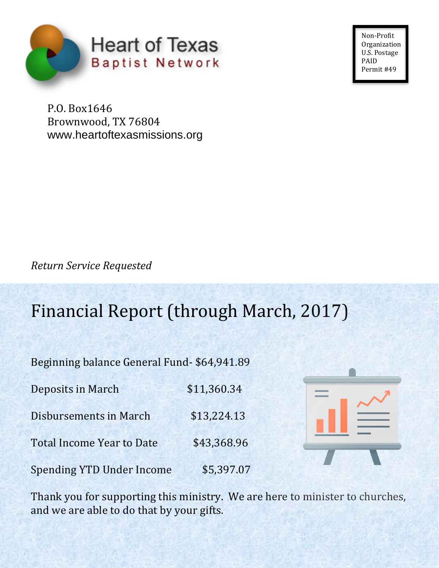

Non-Profit **Organization** U.S. Postage PAID Permit #49

P.O. Box1646 Brownwood, TX 76804 www.heartoftexasmissions.org

*Return Service Requested*

## Financial Report (through March, 2017)

Beginning balance General Fund- \$64,941.89

| Deposits in March                | \$11,360.34 |
|----------------------------------|-------------|
| Disbursements in March           | \$13,224.13 |
| <b>Total Income Year to Date</b> | \$43,368.96 |
| <b>Spending YTD Under Income</b> | \$5,397.07  |



Thank you for supporting this ministry. We are here to minister to churches, and we are able to do that by your gifts.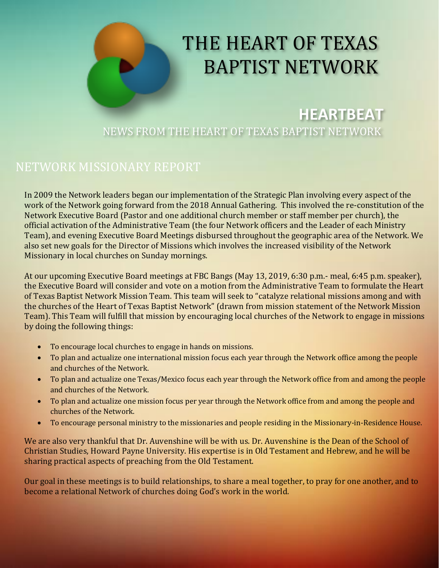

# BAPTIST NETWORK

**HEARTBEAT** NEWS FROM THE HEART OF TEXAS BAPTIST NETWORK

#### NETWORK MISSIONARY REPORT

In 2009 the Network leaders began our implementation of the Strategic Plan involving every aspect of the work of the Network going forward from the 2018 Annual Gathering. This involved the re-constitution of the Network Executive Board (Pastor and one additional church member or staff member per church), the official activation of the Administrative Team (the four Network officers and the Leader of each Ministry Team), and evening Executive Board Meetings disbursed throughout the geographic area of the Network. We also set new goals for the Director of Missions which involves the increased visibility of the Network Missionary in local churches on Sunday mornings.

At our upcoming Executive Board meetings at FBC Bangs (May 13, 2019, 6:30 p.m.- meal, 6:45 p.m. speaker), the Executive Board will consider and vote on a motion from the Administrative Team to formulate the Heart of Texas Baptist Network Mission Team. This team will seek to "catalyze relational missions among and with the churches of the Heart of Texas Baptist Network" (drawn from mission statement of the Network Mission Team). This Team will fulfill that mission by encouraging local churches of the Network to engage in missions by doing the following things:

- To encourage local churches to engage in hands on missions.
- To plan and actualize one international mission focus each year through the Network office among the people and churches of the Network.
- To plan and actualize one Texas/Mexico focus each year through the Network office from and among the people and churches of the Network.
- To plan and actualize one mission focus per year through the Network office from and among the people and churches of the Network.
- To encourage personal ministry to the missionaries and people residing in the Missionary-in-Residence House.

We are also very thankful that Dr. Auvenshine will be with us. Dr. Auvenshine is the Dean of the School of Christian Studies, Howard Payne University. His expertise is in Old Testament and Hebrew, and he will be sharing practical aspects of preaching from the Old Testament.

Our goal in these meetings is to build relationships, to share a meal together, to pray for one another, and to become a relational Network of churches doing God's work in the world.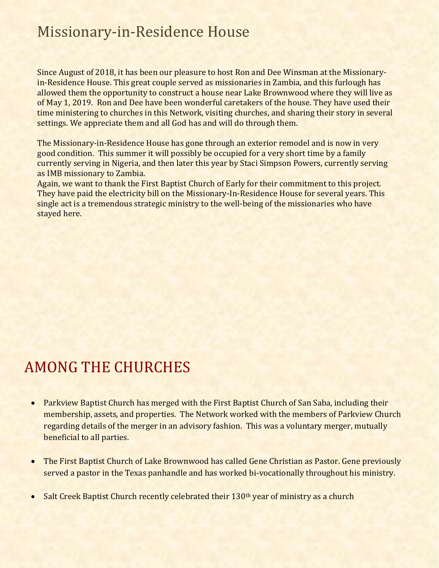## Missionary-in-Residence House

Since August of 2018, it has been our pleasure to host Ron and Dee Winsman at the Missionaryin-Residence House. This great couple served as missionaries in Zambia, and this furlough has allowed them the opportunity to construct a house near Lake Brownwood where they will live as of May 1, 2019. Ron and Dee have been wonderful caretakers of the house. They have used their time ministering to churches in this Network, visiting churches, and sharing their story in several settings. We appreciate them and all God has and will do through them.

The Missionary-in-Residence House has gone through an exterior remodel and is now in very good condition. This summer it will possibly be occupied for a very short time by a family currently serving in Nigeria, and then later this year by Staci Simpson Powers, currently serving as IMB missionary to Zambia.

Again, we want to thank the First Baptist Church of Early for their commitment to this project. They have paid the electricity bill on the Missionary-In-Residence House for several years. This single act is a tremendous strategic ministry to the well-being of the missionaries who have stayed here.

## AMONG THE CHURCHES

- Parkview Baptist Church has merged with the First Baptist Church of San Saba, including their membership, assets, and properties. The Network worked with the members of Parkview Church regarding details of the merger in an advisory fashion. This was a voluntary merger, mutually beneficial to all parties.
- The First Baptist Church of Lake Brownwood has called Gene Christian as Pastor. Gene previously served a pastor in the Texas panhandle and has worked bi-vocationally throughout his ministry.
- Salt Creek Baptist Church recently celebrated their 130<sup>th</sup> year of ministry as a church